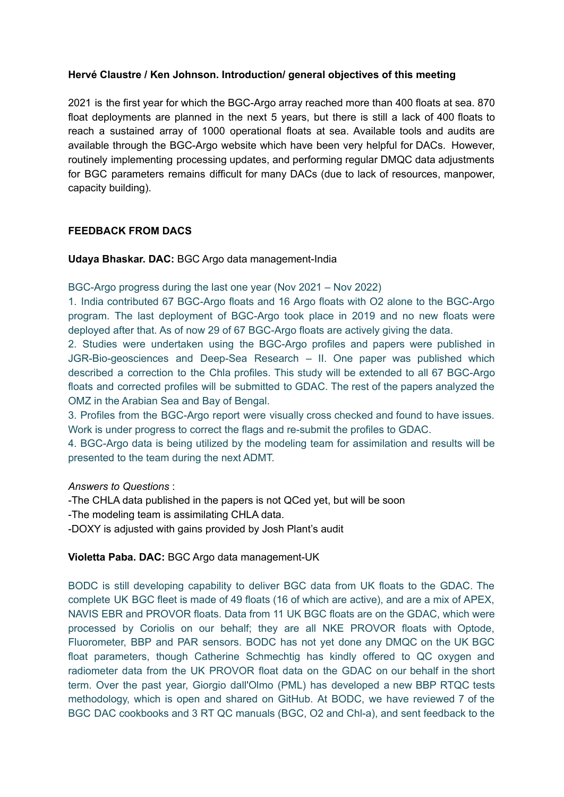# **Hervé Claustre / Ken Johnson. Introduction/ general objectives of this meeting**

2021 is the first year for which the BGC-Argo array reached more than 400 floats at sea. 870 float deployments are planned in the next 5 years, but there is still a lack of 400 floats to reach a sustained array of 1000 operational floats at sea. Available tools and audits are available through the BGC-Argo website which have been very helpful for DACs. However, routinely implementing processing updates, and performing regular DMQC data adjustments for BGC parameters remains difficult for many DACs (due to lack of resources, manpower, capacity building).

# **FEEDBACK FROM DACS**

**Udaya Bhaskar. DAC:** BGC Argo data management-India

BGC-Argo progress during the last one year (Nov 2021 – Nov 2022)

1. India contributed 67 BGC-Argo floats and 16 Argo floats with O2 alone to the BGC-Argo program. The last deployment of BGC-Argo took place in 2019 and no new floats were deployed after that. As of now 29 of 67 BGC-Argo floats are actively giving the data.

2. Studies were undertaken using the BGC-Argo profiles and papers were published in JGR-Bio-geosciences and Deep-Sea Research – II. One paper was published which described a correction to the Chla profiles. This study will be extended to all 67 BGC-Argo floats and corrected profiles will be submitted to GDAC. The rest of the papers analyzed the OMZ in the Arabian Sea and Bay of Bengal.

3. Profiles from the BGC-Argo report were visually cross checked and found to have issues. Work is under progress to correct the flags and re-submit the profiles to GDAC.

4. BGC-Argo data is being utilized by the modeling team for assimilation and results will be presented to the team during the next ADMT.

# *Answers to Questions* :

-The CHLA data published in the papers is not QCed yet, but will be soon

-The modeling team is assimilating CHLA data.

-DOXY is adjusted with gains provided by Josh Plant's audit

**Violetta Paba. DAC:** BGC Argo data management-UK

BODC is still developing capability to deliver BGC data from UK floats to the GDAC. The complete UK BGC fleet is made of 49 floats (16 of which are active), and are a mix of APEX, NAVIS EBR and PROVOR floats. Data from 11 UK BGC floats are on the GDAC, which were processed by Coriolis on our behalf; they are all NKE PROVOR floats with Optode, Fluorometer, BBP and PAR sensors. BODC has not yet done any DMQC on the UK BGC float parameters, though Catherine Schmechtig has kindly offered to QC oxygen and radiometer data from the UK PROVOR float data on the GDAC on our behalf in the short term. Over the past year, Giorgio dall'Olmo (PML) has developed a new BBP RTQC tests methodology, which is open and shared on GitHub. At BODC, we have reviewed 7 of the BGC DAC cookbooks and 3 RT QC manuals (BGC, O2 and Chl-a), and sent feedback to the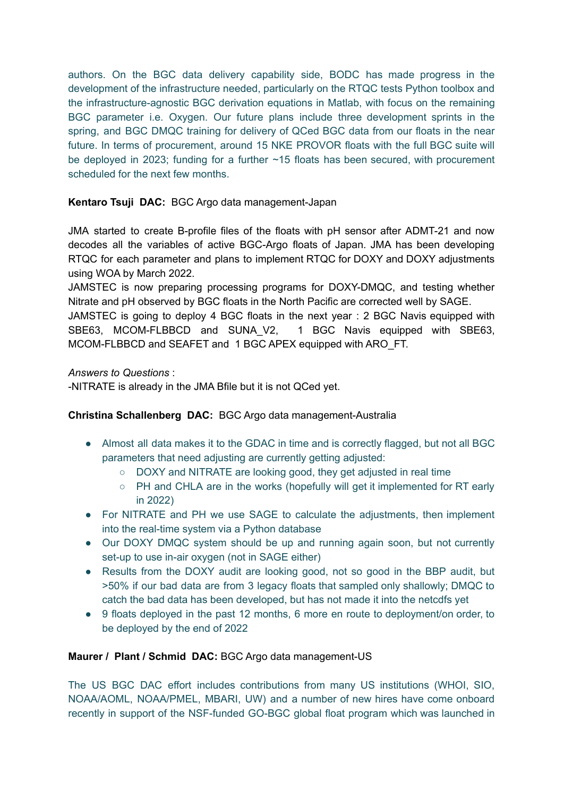authors. On the BGC data delivery capability side, BODC has made progress in the development of the infrastructure needed, particularly on the RTQC tests Python toolbox and the infrastructure-agnostic BGC derivation equations in Matlab, with focus on the remaining BGC parameter i.e. Oxygen. Our future plans include three development sprints in the spring, and BGC DMQC training for delivery of QCed BGC data from our floats in the near future. In terms of procurement, around 15 NKE PROVOR floats with the full BGC suite will be deployed in 2023; funding for a further ~15 floats has been secured, with procurement scheduled for the next few months.

# **Kentaro Tsuji DAC:** BGC Argo data management-Japan

JMA started to create B-profile files of the floats with pH sensor after ADMT-21 and now decodes all the variables of active BGC-Argo floats of Japan. JMA has been developing RTQC for each parameter and plans to implement RTQC for DOXY and DOXY adjustments using WOA by March 2022.

JAMSTEC is now preparing processing programs for DOXY-DMQC, and testing whether Nitrate and pH observed by BGC floats in the North Pacific are corrected well by SAGE.

JAMSTEC is going to deploy 4 BGC floats in the next year : 2 BGC Navis equipped with SBE63, MCOM-FLBBCD and SUNA\_V2, 1 BGC Navis equipped with SBE63, MCOM-FLBBCD and SEAFET and 1 BGC APEX equipped with ARO\_FT.

# *Answers to Questions* :

-NITRATE is already in the JMA Bfile but it is not QCed yet.

# **Christina Schallenberg DAC:** BGC Argo data management-Australia

- Almost all data makes it to the GDAC in time and is correctly flagged, but not all BGC parameters that need adjusting are currently getting adjusted:
	- DOXY and NITRATE are looking good, they get adjusted in real time
	- PH and CHLA are in the works (hopefully will get it implemented for RT early in 2022)
- For NITRATE and PH we use SAGE to calculate the adjustments, then implement into the real-time system via a Python database
- Our DOXY DMQC system should be up and running again soon, but not currently set-up to use in-air oxygen (not in SAGE either)
- Results from the DOXY audit are looking good, not so good in the BBP audit, but >50% if our bad data are from 3 legacy floats that sampled only shallowly; DMQC to catch the bad data has been developed, but has not made it into the netcdfs yet
- 9 floats deployed in the past 12 months, 6 more en route to deployment/on order, to be deployed by the end of 2022

# **Maurer / Plant / Schmid DAC:** BGC Argo data management-US

The US BGC DAC effort includes contributions from many US institutions (WHOI, SIO, NOAA/AOML, NOAA/PMEL, MBARI, UW) and a number of new hires have come onboard recently in support of the NSF-funded GO-BGC global float program which was launched in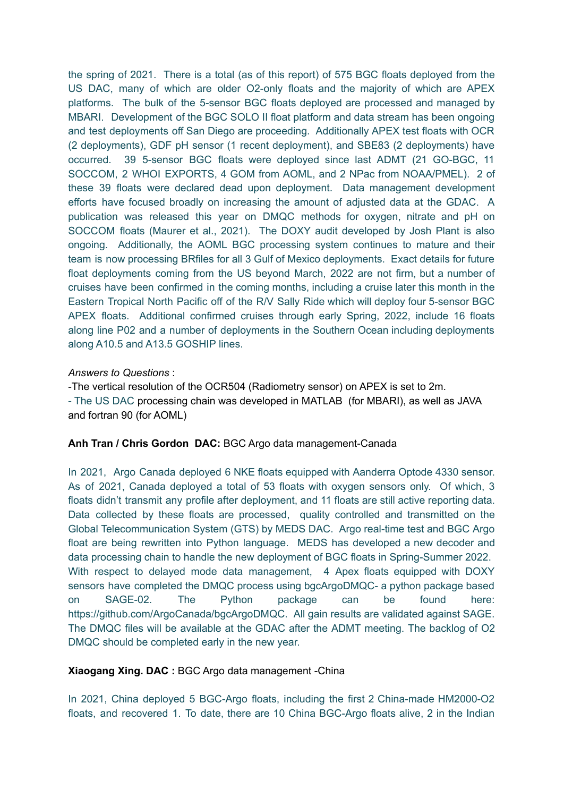the spring of 2021. There is a total (as of this report) of 575 BGC floats deployed from the US DAC, many of which are older O2-only floats and the majority of which are APEX platforms. The bulk of the 5-sensor BGC floats deployed are processed and managed by MBARI. Development of the BGC SOLO II float platform and data stream has been ongoing and test deployments off San Diego are proceeding. Additionally APEX test floats with OCR (2 deployments), GDF pH sensor (1 recent deployment), and SBE83 (2 deployments) have occurred. 39 5-sensor BGC floats were deployed since last ADMT (21 GO-BGC, 11 SOCCOM, 2 WHOI EXPORTS, 4 GOM from AOML, and 2 NPac from NOAA/PMEL). 2 of these 39 floats were declared dead upon deployment. Data management development efforts have focused broadly on increasing the amount of adjusted data at the GDAC. A publication was released this year on DMQC methods for oxygen, nitrate and pH on SOCCOM floats (Maurer et al., 2021). The DOXY audit developed by Josh Plant is also ongoing. Additionally, the AOML BGC processing system continues to mature and their team is now processing BRfiles for all 3 Gulf of Mexico deployments. Exact details for future float deployments coming from the US beyond March, 2022 are not firm, but a number of cruises have been confirmed in the coming months, including a cruise later this month in the Eastern Tropical North Pacific off of the R/V Sally Ride which will deploy four 5-sensor BGC APEX floats. Additional confirmed cruises through early Spring, 2022, include 16 floats along line P02 and a number of deployments in the Southern Ocean including deployments along A10.5 and A13.5 GOSHIP lines.

# *Answers to Questions* :

-The vertical resolution of the OCR504 (Radiometry sensor) on APEX is set to 2m. - The US DAC processing chain was developed in MATLAB (for MBARI), as well as JAVA and fortran 90 (for AOML)

# **Anh Tran / Chris Gordon DAC:** BGC Argo data management-Canada

In 2021, Argo Canada deployed 6 NKE floats equipped with Aanderra Optode 4330 sensor. As of 2021, Canada deployed a total of 53 floats with oxygen sensors only. Of which, 3 floats didn't transmit any profile after deployment, and 11 floats are still active reporting data. Data collected by these floats are processed, quality controlled and transmitted on the Global Telecommunication System (GTS) by MEDS DAC. Argo real-time test and BGC Argo float are being rewritten into Python language. MEDS has developed a new decoder and data processing chain to handle the new deployment of BGC floats in Spring-Summer 2022. With respect to delayed mode data management, 4 Apex floats equipped with DOXY sensors have completed the DMQC process using bgcArgoDMQC- a python package based on SAGE-02. The Python package can be found here: <https://github.com/ArgoCanada/bgcArgoDMQC>. All gain results are validated against SAGE. The DMQC files will be available at the GDAC after the ADMT meeting. The backlog of O2 DMQC should be completed early in the new year.

# **Xiaogang Xing. DAC :** BGC Argo data management -China

In 2021, China deployed 5 BGC-Argo floats, including the first 2 China-made HM2000-O2 floats, and recovered 1. To date, there are 10 China BGC-Argo floats alive, 2 in the Indian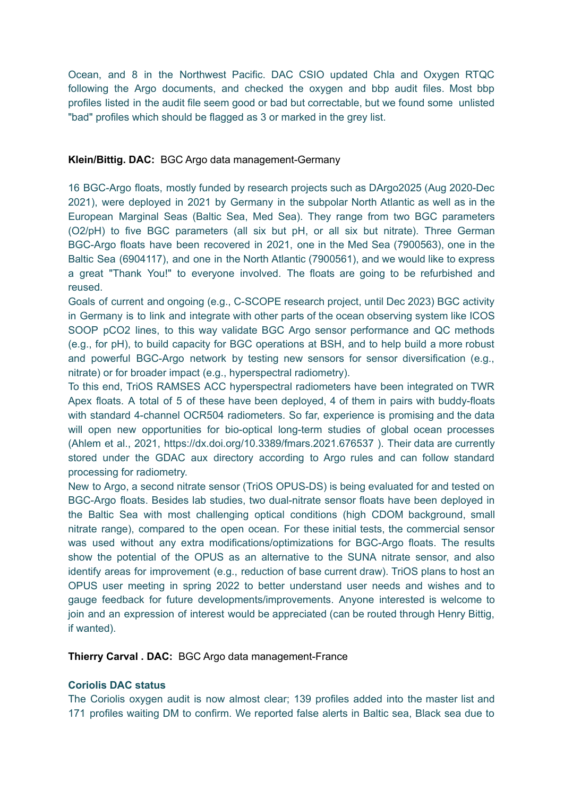Ocean, and 8 in the Northwest Pacific. DAC CSIO updated Chla and Oxygen RTQC following the Argo documents, and checked the oxygen and bbp audit files. Most bbp profiles listed in the audit file seem good or bad but correctable, but we found some unlisted "bad" profiles which should be flagged as 3 or marked in the grey list.

### **Klein/Bittig. DAC:** BGC Argo data management-Germany

16 BGC-Argo floats, mostly funded by research projects such as DArgo2025 (Aug 2020-Dec 2021), were deployed in 2021 by Germany in the subpolar North Atlantic as well as in the European Marginal Seas (Baltic Sea, Med Sea). They range from two BGC parameters (O2/pH) to five BGC parameters (all six but pH, or all six but nitrate). Three German BGC-Argo floats have been recovered in 2021, one in the Med Sea (7900563), one in the Baltic Sea (6904117), and one in the North Atlantic (7900561), and we would like to express a great "Thank You!" to everyone involved. The floats are going to be refurbished and reused.

Goals of current and ongoing (e.g., C-SCOPE research project, until Dec 2023) BGC activity in Germany is to link and integrate with other parts of the ocean observing system like ICOS SOOP pCO2 lines, to this way validate BGC Argo sensor performance and QC methods (e.g., for pH), to build capacity for BGC operations at BSH, and to help build a more robust and powerful BGC-Argo network by testing new sensors for sensor diversification (e.g., nitrate) or for broader impact (e.g., hyperspectral radiometry).

To this end, TriOS RAMSES ACC hyperspectral radiometers have been integrated on TWR Apex floats. A total of 5 of these have been deployed, 4 of them in pairs with buddy-floats with standard 4-channel OCR504 radiometers. So far, experience is promising and the data will open new opportunities for bio-optical long-term studies of global ocean processes (Ahlem et al., 2021, https://dx.doi.org/10.3389/fmars.2021.676537 ). Their data are currently stored under the GDAC aux directory according to Argo rules and can follow standard processing for radiometry.

New to Argo, a second nitrate sensor (TriOS OPUS-DS) is being evaluated for and tested on BGC-Argo floats. Besides lab studies, two dual-nitrate sensor floats have been deployed in the Baltic Sea with most challenging optical conditions (high CDOM background, small nitrate range), compared to the open ocean. For these initial tests, the commercial sensor was used without any extra modifications/optimizations for BGC-Argo floats. The results show the potential of the OPUS as an alternative to the SUNA nitrate sensor, and also identify areas for improvement (e.g., reduction of base current draw). TriOS plans to host an OPUS user meeting in spring 2022 to better understand user needs and wishes and to gauge feedback for future developments/improvements. Anyone interested is welcome to join and an expression of interest would be appreciated (can be routed through Henry Bittig, if wanted).

**Thierry Carval . DAC:** BGC Argo data management-France

## **Coriolis DAC status**

The Coriolis oxygen audit is now almost clear; 139 profiles added into the master list and 171 profiles waiting DM to confirm. We reported false alerts in Baltic sea, Black sea due to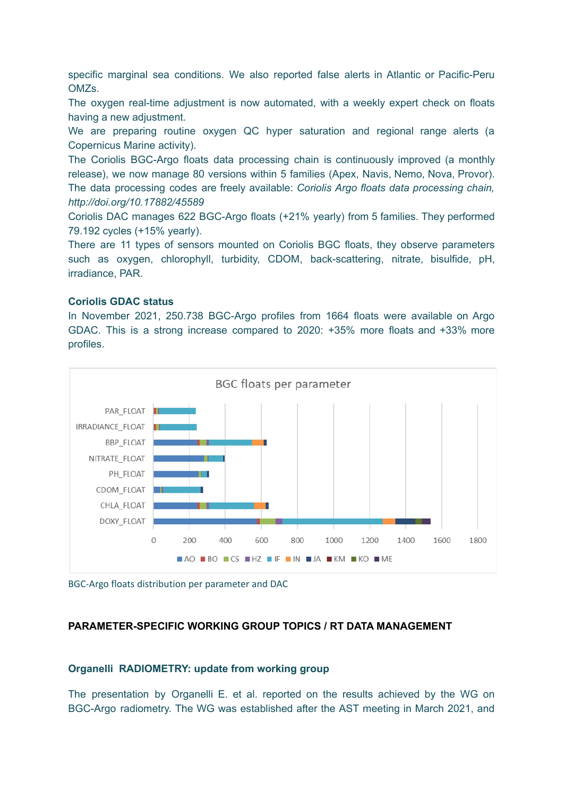specific marginal sea conditions. We also reported false alerts in Atlantic or Pacific-Peru OMZs.

The oxygen real-time adjustment is now automated, with a weekly expert check on floats having a new adjustment.

We are preparing routine oxygen QC hyper saturation and regional range alerts (a Copernicus Marine activity).

The Coriolis BGC-Argo floats data processing chain is continuously improved (a monthly release), we now manage 80 versions within 5 families (Apex, Navis, Nemo, Nova, Provor). The data processing codes are freely available: *Coriolis Argo floats data processing chain, <http://doi.org/10.17882/45589>*

Coriolis DAC manages 622 BGC-Argo floats (+21% yearly) from 5 families. They performed 79.192 cycles (+15% yearly).

There are 11 types of sensors mounted on Coriolis BGC floats, they observe parameters such as oxygen, chlorophyll, turbidity, CDOM, back-scattering, nitrate, bisulfide, pH, irradiance, PAR.

#### **Coriolis GDAC status**

In November 2021, 250.738 BGC-Argo profiles from 1664 floats were available on Argo GDAC. This is a strong increase compared to 2020: +35% more floats and +33% more profiles.



BGC-Argo floats distribution per parameter and DAC

# **PARAMETER-SPECIFIC WORKING GROUP TOPICS / RT DATA MANAGEMENT**

# **Organelli RADIOMETRY: update from working group**

The presentation by Organelli E. et al. reported on the results achieved by the WG on BGC-Argo radiometry. The WG was established after the AST meeting in March 2021, and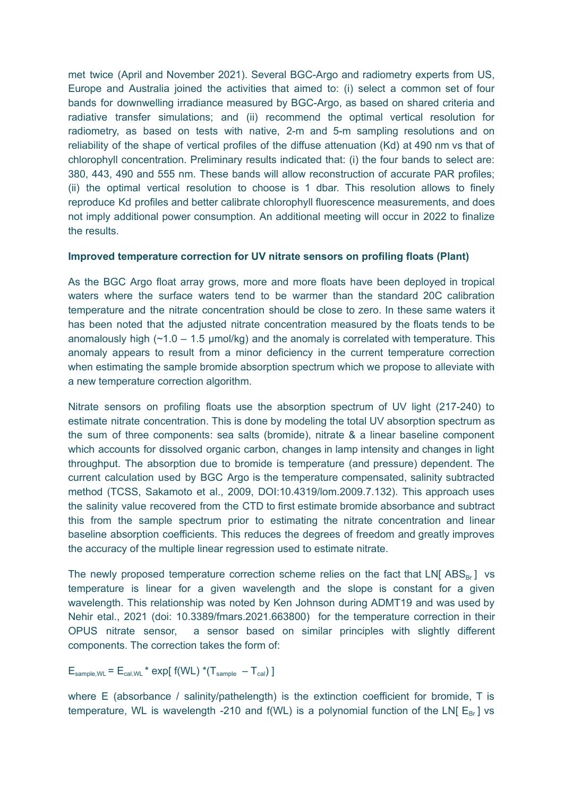met twice (April and November 2021). Several BGC-Argo and radiometry experts from US, Europe and Australia joined the activities that aimed to: (i) select a common set of four bands for downwelling irradiance measured by BGC-Argo, as based on shared criteria and radiative transfer simulations; and (ii) recommend the optimal vertical resolution for radiometry, as based on tests with native, 2-m and 5-m sampling resolutions and on reliability of the shape of vertical profiles of the diffuse attenuation (Kd) at 490 nm vs that of chlorophyll concentration. Preliminary results indicated that: (i) the four bands to select are: 380, 443, 490 and 555 nm. These bands will allow reconstruction of accurate PAR profiles; (ii) the optimal vertical resolution to choose is 1 dbar. This resolution allows to finely reproduce Kd profiles and better calibrate chlorophyll fluorescence measurements, and does not imply additional power consumption. An additional meeting will occur in 2022 to finalize the results.

## **Improved temperature correction for UV nitrate sensors on profiling floats (Plant)**

As the BGC Argo float array grows, more and more floats have been deployed in tropical waters where the surface waters tend to be warmer than the standard 20C calibration temperature and the nitrate concentration should be close to zero. In these same waters it has been noted that the adjusted nitrate concentration measured by the floats tends to be anomalously high  $(-1.0 - 1.5 \text{ \mu m})$  and the anomaly is correlated with temperature. This anomaly appears to result from a minor deficiency in the current temperature correction when estimating the sample bromide absorption spectrum which we propose to alleviate with a new temperature correction algorithm.

Nitrate sensors on profiling floats use the absorption spectrum of UV light (217-240) to estimate nitrate concentration. This is done by modeling the total UV absorption spectrum as the sum of three components: sea salts (bromide), nitrate & a linear baseline component which accounts for dissolved organic carbon, changes in lamp intensity and changes in light throughput. The absorption due to bromide is temperature (and pressure) dependent. The current calculation used by BGC Argo is the temperature compensated, salinity subtracted method (TCSS, Sakamoto et al., 2009, DOI:10.4319/lom.2009.7.132). This approach uses the salinity value recovered from the CTD to first estimate bromide absorbance and subtract this from the sample spectrum prior to estimating the nitrate concentration and linear baseline absorption coefficients. This reduces the degrees of freedom and greatly improves the accuracy of the multiple linear regression used to estimate nitrate.

The newly proposed temperature correction scheme relies on the fact that LN[  $\text{ABS}_{\text{Br}}$  ] vs temperature is linear for a given wavelength and the slope is constant for a given wavelength. This relationship was noted by Ken Johnson during ADMT19 and was used by Nehir etal., 2021 (doi: 10.3389/fmars.2021.663800) for the temperature correction in their OPUS nitrate sensor, a sensor based on similar principles with slightly different components. The correction takes the form of:

 $E_{\text{sample,WL}} = E_{\text{cal,WL}} * \exp[ f(WL) * (T_{\text{sample}} - T_{\text{cal}}) ]$ 

where E (absorbance / salinity/pathelength) is the extinction coefficient for bromide, T is temperature, WL is wavelength -210 and  $f(WL)$  is a polynomial function of the LN[  $E_{Br}$ ] vs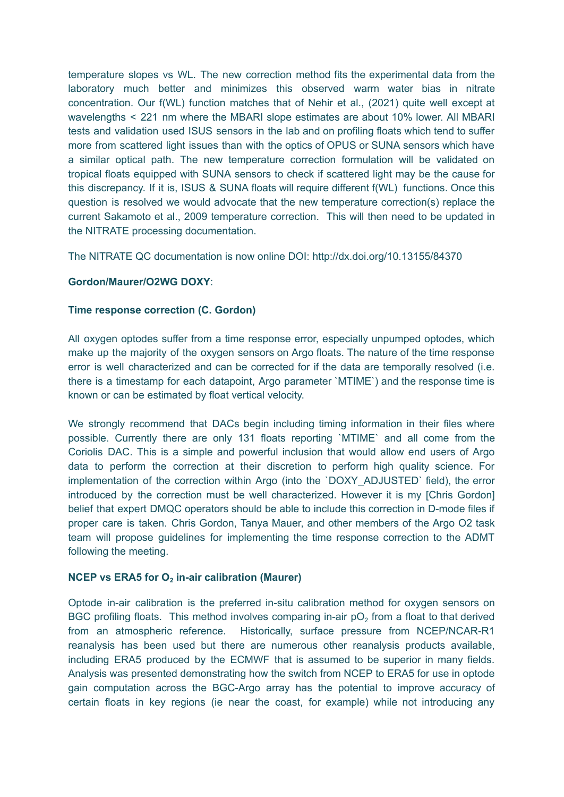temperature slopes vs WL. The new correction method fits the experimental data from the laboratory much better and minimizes this observed warm water bias in nitrate concentration. Our f(WL) function matches that of Nehir et al., (2021) quite well except at wavelengths < 221 nm where the MBARI slope estimates are about 10% lower. All MBARI tests and validation used ISUS sensors in the lab and on profiling floats which tend to suffer more from scattered light issues than with the optics of OPUS or SUNA sensors which have a similar optical path. The new temperature correction formulation will be validated on tropical floats equipped with SUNA sensors to check if scattered light may be the cause for this discrepancy. If it is, ISUS & SUNA floats will require different f(WL) functions. Once this question is resolved we would advocate that the new temperature correction(s) replace the current Sakamoto et al., 2009 temperature correction. This will then need to be updated in the NITRATE processing documentation.

The NITRATE QC documentation is now online DOI: http://dx.doi.org/10.13155/84370

# **Gordon/Maurer/O2WG DOXY**:

## **Time response correction (C. Gordon)**

All oxygen optodes suffer from a time response error, especially unpumped optodes, which make up the majority of the oxygen sensors on Argo floats. The nature of the time response error is well characterized and can be corrected for if the data are temporally resolved (i.e. there is a timestamp for each datapoint, Argo parameter `MTIME`) and the response time is known or can be estimated by float vertical velocity.

We strongly recommend that DACs begin including timing information in their files where possible. Currently there are only 131 floats reporting `MTIME` and all come from the Coriolis DAC. This is a simple and powerful inclusion that would allow end users of Argo data to perform the correction at their discretion to perform high quality science. For implementation of the correction within Argo (into the `DOXY\_ADJUSTED` field), the error introduced by the correction must be well characterized. However it is my [Chris Gordon] belief that expert DMQC operators should be able to include this correction in D-mode files if proper care is taken. Chris Gordon, Tanya Mauer, and other members of the Argo O2 task team will propose guidelines for implementing the time response correction to the ADMT following the meeting.

# **NCEP vs ERA5 for O<sup>2</sup> in-air calibration (Maurer)**

Optode in-air calibration is the preferred in-situ calibration method for oxygen sensors on BGC profiling floats. This method involves comparing in-air  $pO<sub>2</sub>$  from a float to that derived from an atmospheric reference. Historically, surface pressure from NCEP/NCAR-R1 reanalysis has been used but there are numerous other reanalysis products available, including ERA5 produced by the ECMWF that is assumed to be superior in many fields. Analysis was presented demonstrating how the switch from NCEP to ERA5 for use in optode gain computation across the BGC-Argo array has the potential to improve accuracy of certain floats in key regions (ie near the coast, for example) while not introducing any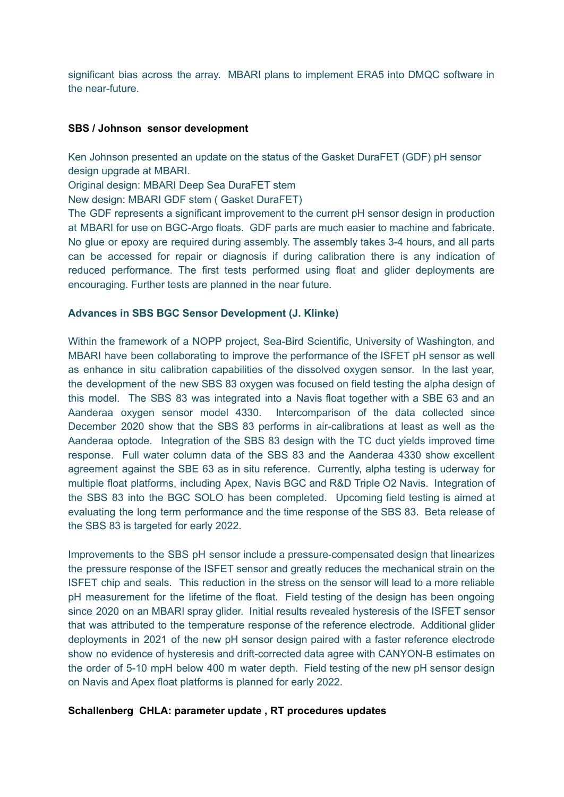significant bias across the array. MBARI plans to implement ERA5 into DMQC software in the near-future.

## **SBS / Johnson sensor development**

Ken Johnson presented an update on the status of the Gasket DuraFET (GDF) pH sensor design upgrade at MBARI.

Original design: MBARI Deep Sea DuraFET stem

New design: MBARI GDF stem ( Gasket DuraFET)

The GDF represents a significant improvement to the current pH sensor design in production at MBARI for use on BGC-Argo floats. GDF parts are much easier to machine and fabricate. No glue or epoxy are required during assembly. The assembly takes 3-4 hours, and all parts can be accessed for repair or diagnosis if during calibration there is any indication of reduced performance. The first tests performed using float and glider deployments are encouraging. Further tests are planned in the near future.

# **Advances in SBS BGC Sensor Development (J. Klinke)**

Within the framework of a NOPP project, Sea-Bird Scientific, University of Washington, and MBARI have been collaborating to improve the performance of the ISFET pH sensor as well as enhance in situ calibration capabilities of the dissolved oxygen sensor. In the last year, the development of the new SBS 83 oxygen was focused on field testing the alpha design of this model. The SBS 83 was integrated into a Navis float together with a SBE 63 and an Aanderaa oxygen sensor model 4330. Intercomparison of the data collected since December 2020 show that the SBS 83 performs in air-calibrations at least as well as the Aanderaa optode. Integration of the SBS 83 design with the TC duct yields improved time response. Full water column data of the SBS 83 and the Aanderaa 4330 show excellent agreement against the SBE 63 as in situ reference. Currently, alpha testing is uderway for multiple float platforms, including Apex, Navis BGC and R&D Triple O2 Navis. Integration of the SBS 83 into the BGC SOLO has been completed. Upcoming field testing is aimed at evaluating the long term performance and the time response of the SBS 83. Beta release of the SBS 83 is targeted for early 2022.

Improvements to the SBS pH sensor include a pressure-compensated design that linearizes the pressure response of the ISFET sensor and greatly reduces the mechanical strain on the ISFET chip and seals. This reduction in the stress on the sensor will lead to a more reliable pH measurement for the lifetime of the float. Field testing of the design has been ongoing since 2020 on an MBARI spray glider. Initial results revealed hysteresis of the ISFET sensor that was attributed to the temperature response of the reference electrode. Additional glider deployments in 2021 of the new pH sensor design paired with a faster reference electrode show no evidence of hysteresis and drift-corrected data agree with CANYON-B estimates on the order of 5-10 mpH below 400 m water depth. Field testing of the new pH sensor design on Navis and Apex float platforms is planned for early 2022.

#### **Schallenberg CHLA: parameter update , RT procedures updates**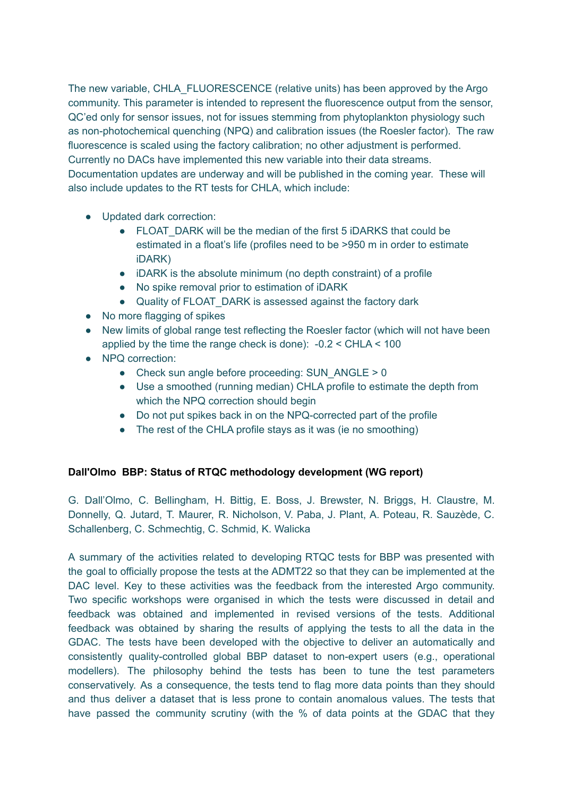The new variable, CHLA\_FLUORESCENCE (relative units) has been approved by the Argo community. This parameter is intended to represent the fluorescence output from the sensor, QC'ed only for sensor issues, not for issues stemming from phytoplankton physiology such as non-photochemical quenching (NPQ) and calibration issues (the Roesler factor). The raw fluorescence is scaled using the factory calibration; no other adjustment is performed. Currently no DACs have implemented this new variable into their data streams. Documentation updates are underway and will be published in the coming year. These will also include updates to the RT tests for CHLA, which include:

- Updated dark correction:
	- FLOAT DARK will be the median of the first 5 iDARKS that could be estimated in a float's life (profiles need to be >950 m in order to estimate iDARK)
	- iDARK is the absolute minimum (no depth constraint) of a profile
	- No spike removal prior to estimation of iDARK
	- Quality of FLOAT DARK is assessed against the factory dark
- No more flagging of spikes
- New limits of global range test reflecting the Roesler factor (which will not have been applied by the time the range check is done): -0.2 < CHLA < 100
- NPQ correction:
	- $\bullet$  Check sun angle before proceeding: SUN\_ANGLE > 0
	- Use a smoothed (running median) CHLA profile to estimate the depth from which the NPQ correction should begin
	- Do not put spikes back in on the NPQ-corrected part of the profile
	- The rest of the CHLA profile stays as it was (ie no smoothing)

# **Dall'Olmo BBP: Status of RTQC methodology development (WG report)**

G. Dall'Olmo, C. Bellingham, H. Bittig, E. Boss, J. Brewster, N. Briggs, H. Claustre, M. Donnelly, Q. Jutard, T. Maurer, R. Nicholson, V. Paba, J. Plant, A. Poteau, R. Sauzède, C. Schallenberg, C. Schmechtig, C. Schmid, K. Walicka

A summary of the activities related to developing RTQC tests for BBP was presented with the goal to officially propose the tests at the ADMT22 so that they can be implemented at the DAC level. Key to these activities was the feedback from the interested Argo community. Two specific workshops were organised in which the tests were discussed in detail and feedback was obtained and implemented in revised versions of the tests. Additional feedback was obtained by sharing the results of applying the tests to all the data in the GDAC. The tests have been developed with the objective to deliver an automatically and consistently quality-controlled global BBP dataset to non-expert users (e.g., operational modellers). The philosophy behind the tests has been to tune the test parameters conservatively. As a consequence, the tests tend to flag more data points than they should and thus deliver a dataset that is less prone to contain anomalous values. The tests that have passed the community scrutiny (with the % of data points at the GDAC that they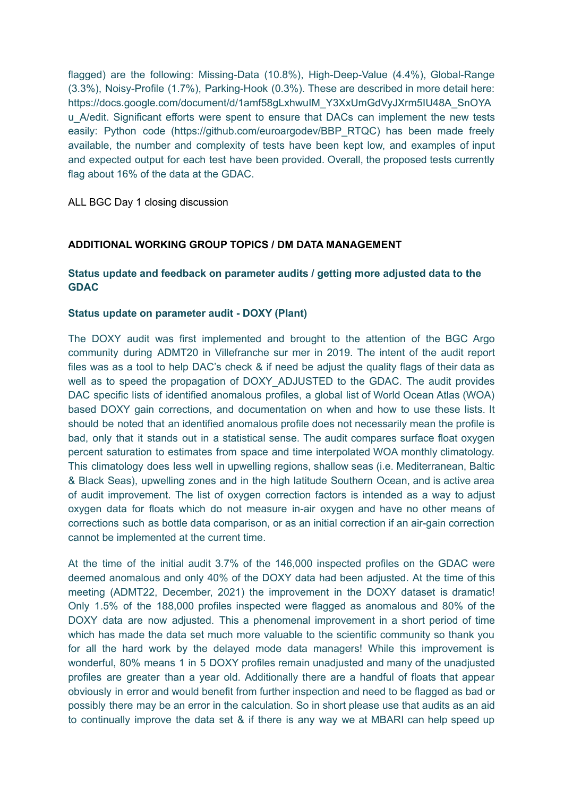flagged) are the following: Missing-Data (10.8%), High-Deep-Value (4.4%), Global-Range (3.3%), Noisy-Profile (1.7%), Parking-Hook (0.3%). These are described in more detail here: https://docs.google.com/document/d/1amf58gLxhwuIM\_Y3XxUmGdVyJXrm5IU48A\_SnOYA u\_A/edit. Significant efforts were spent to ensure that DACs can implement the new tests easily: Python code (https://github.com/euroargodev/BBP\_RTQC) has been made freely available, the number and complexity of tests have been kept low, and examples of input and expected output for each test have been provided. Overall, the proposed tests currently flag about 16% of the data at the GDAC.

ALL BGC Day 1 closing discussion

# **ADDITIONAL WORKING GROUP TOPICS / DM DATA MANAGEMENT**

# **Status update and feedback on parameter audits / getting more adjusted data to the GDAC**

# **Status update on parameter audit - DOXY (Plant)**

The DOXY audit was first implemented and brought to the attention of the BGC Argo community during ADMT20 in Villefranche sur mer in 2019. The intent of the audit report files was as a tool to help DAC's check & if need be adjust the quality flags of their data as well as to speed the propagation of DOXY\_ADJUSTED to the GDAC. The audit provides DAC specific lists of identified anomalous profiles, a global list of World Ocean Atlas (WOA) based DOXY gain corrections, and documentation on when and how to use these lists. It should be noted that an identified anomalous profile does not necessarily mean the profile is bad, only that it stands out in a statistical sense. The audit compares surface float oxygen percent saturation to estimates from space and time interpolated WOA monthly climatology. This climatology does less well in upwelling regions, shallow seas (i.e. Mediterranean, Baltic & Black Seas), upwelling zones and in the high latitude Southern Ocean, and is active area of audit improvement. The list of oxygen correction factors is intended as a way to adjust oxygen data for floats which do not measure in-air oxygen and have no other means of corrections such as bottle data comparison, or as an initial correction if an air-gain correction cannot be implemented at the current time.

At the time of the initial audit 3.7% of the 146,000 inspected profiles on the GDAC were deemed anomalous and only 40% of the DOXY data had been adjusted. At the time of this meeting (ADMT22, December, 2021) the improvement in the DOXY dataset is dramatic! Only 1.5% of the 188,000 profiles inspected were flagged as anomalous and 80% of the DOXY data are now adjusted. This a phenomenal improvement in a short period of time which has made the data set much more valuable to the scientific community so thank you for all the hard work by the delayed mode data managers! While this improvement is wonderful, 80% means 1 in 5 DOXY profiles remain unadjusted and many of the unadjusted profiles are greater than a year old. Additionally there are a handful of floats that appear obviously in error and would benefit from further inspection and need to be flagged as bad or possibly there may be an error in the calculation. So in short please use that audits as an aid to continually improve the data set & if there is any way we at MBARI can help speed up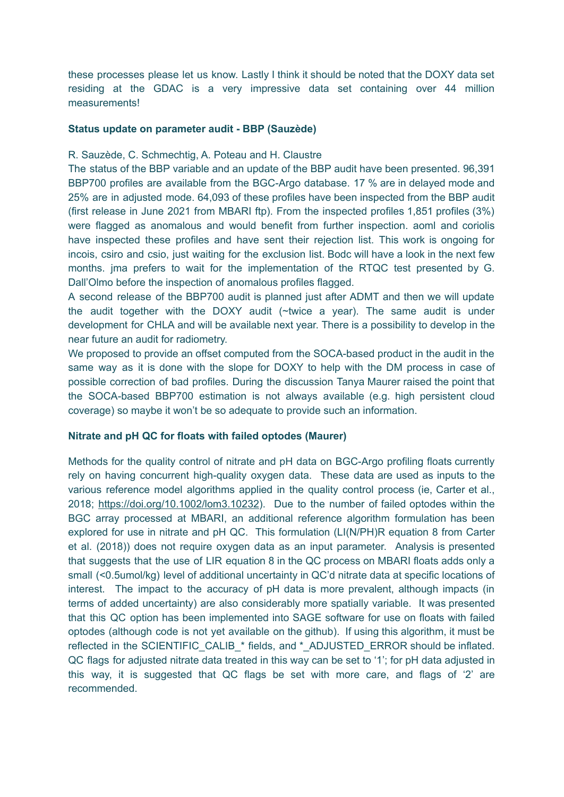these processes please let us know. Lastly I think it should be noted that the DOXY data set residing at the GDAC is a very impressive data set containing over 44 million measurements!

### **Status update on parameter audit - BBP (Sauzède)**

### R. Sauzède, C. Schmechtig, A. Poteau and H. Claustre

The status of the BBP variable and an update of the BBP audit have been presented. 96,391 BBP700 profiles are available from the BGC-Argo database. 17 % are in delayed mode and 25% are in adjusted mode. 64,093 of these profiles have been inspected from the BBP audit (first release in June 2021 from MBARI ftp). From the inspected profiles 1,851 profiles (3%) were flagged as anomalous and would benefit from further inspection. aoml and coriolis have inspected these profiles and have sent their rejection list. This work is ongoing for incois, csiro and csio, just waiting for the exclusion list. Bodc will have a look in the next few months. jma prefers to wait for the implementation of the RTQC test presented by G. Dall'Olmo before the inspection of anomalous profiles flagged.

A second release of the BBP700 audit is planned just after ADMT and then we will update the audit together with the DOXY audit (~twice a year). The same audit is under development for CHLA and will be available next year. There is a possibility to develop in the near future an audit for radiometry.

We proposed to provide an offset computed from the SOCA-based product in the audit in the same way as it is done with the slope for DOXY to help with the DM process in case of possible correction of bad profiles. During the discussion Tanya Maurer raised the point that the SOCA-based BBP700 estimation is not always available (e.g. high persistent cloud coverage) so maybe it won't be so adequate to provide such an information.

#### **Nitrate and pH QC for floats with failed optodes (Maurer)**

Methods for the quality control of nitrate and pH data on BGC-Argo profiling floats currently rely on having concurrent high-quality oxygen data. These data are used as inputs to the various reference model algorithms applied in the quality control process (ie, Carter et al., 2018; [https://doi.org/10.1002/lom3.10232\)](https://doi.org/10.1002/lom3.10232). Due to the number of failed optodes within the BGC array processed at MBARI, an additional reference algorithm formulation has been explored for use in nitrate and pH QC. This formulation (LI(N/PH)R equation 8 from Carter et al. (2018)) does not require oxygen data as an input parameter. Analysis is presented that suggests that the use of LIR equation 8 in the QC process on MBARI floats adds only a small (<0.5umol/kg) level of additional uncertainty in QC'd nitrate data at specific locations of interest. The impact to the accuracy of pH data is more prevalent, although impacts (in terms of added uncertainty) are also considerably more spatially variable. It was presented that this QC option has been implemented into SAGE software for use on floats with failed optodes (although code is not yet available on the github). If using this algorithm, it must be reflected in the SCIENTIFIC\_CALIB\_\* fields, and \*\_ADJUSTED\_ERROR should be inflated. QC flags for adjusted nitrate data treated in this way can be set to '1'; for pH data adjusted in this way, it is suggested that QC flags be set with more care, and flags of '2' are recommended.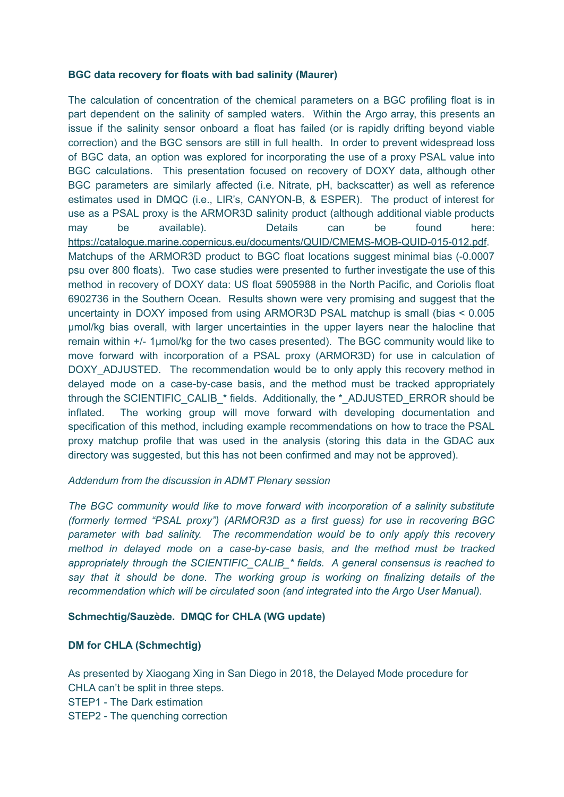## **BGC data recovery for floats with bad salinity (Maurer)**

The calculation of concentration of the chemical parameters on a BGC profiling float is in part dependent on the salinity of sampled waters. Within the Argo array, this presents an issue if the salinity sensor onboard a float has failed (or is rapidly drifting beyond viable correction) and the BGC sensors are still in full health. In order to prevent widespread loss of BGC data, an option was explored for incorporating the use of a proxy PSAL value into BGC calculations. This presentation focused on recovery of DOXY data, although other BGC parameters are similarly affected (i.e. Nitrate, pH, backscatter) as well as reference estimates used in DMQC (i.e., LIR's, CANYON-B, & ESPER). The product of interest for use as a PSAL proxy is the ARMOR3D salinity product (although additional viable products may be available). Details can be found here: <https://catalogue.marine.copernicus.eu/documents/QUID/CMEMS-MOB-QUID-015-012.pdf>. Matchups of the ARMOR3D product to BGC float locations suggest minimal bias (-0.0007 psu over 800 floats). Two case studies were presented to further investigate the use of this method in recovery of DOXY data: US float 5905988 in the North Pacific, and Coriolis float 6902736 in the Southern Ocean. Results shown were very promising and suggest that the uncertainty in DOXY imposed from using ARMOR3D PSAL matchup is small (bias < 0.005 µmol/kg bias overall, with larger uncertainties in the upper layers near the halocline that remain within +/- 1µmol/kg for the two cases presented). The BGC community would like to move forward with incorporation of a PSAL proxy (ARMOR3D) for use in calculation of DOXY ADJUSTED. The recommendation would be to only apply this recovery method in delayed mode on a case-by-case basis, and the method must be tracked appropriately through the SCIENTIFIC\_CALIB\_\* fields. Additionally, the \*\_ADJUSTED\_ERROR should be inflated. The working group will move forward with developing documentation and specification of this method, including example recommendations on how to trace the PSAL proxy matchup profile that was used in the analysis (storing this data in the GDAC aux directory was suggested, but this has not been confirmed and may not be approved).

# *Addendum from the discussion in ADMT Plenary session*

*The BGC community would like to move forward with incorporation of a salinity substitute (formerly termed "PSAL proxy") (ARMOR3D as a first guess) for use in recovering BGC parameter with bad salinity. The recommendation would be to only apply this recovery method in delayed mode on a case-by-case basis, and the method must be tracked appropriately through the SCIENTIFIC\_CALIB\_\* fields. A general consensus is reached to say that it should be done. The working group is working on finalizing details of the recommendation which will be circulated soon (and integrated into the Argo User Manual).*

# **Schmechtig/Sauzède. DMQC for CHLA (WG update)**

# **DM for CHLA (Schmechtig)**

As presented by Xiaogang Xing in San Diego in 2018, the Delayed Mode procedure for CHLA can't be split in three steps. STEP1 - The Dark estimation STEP2 - The quenching correction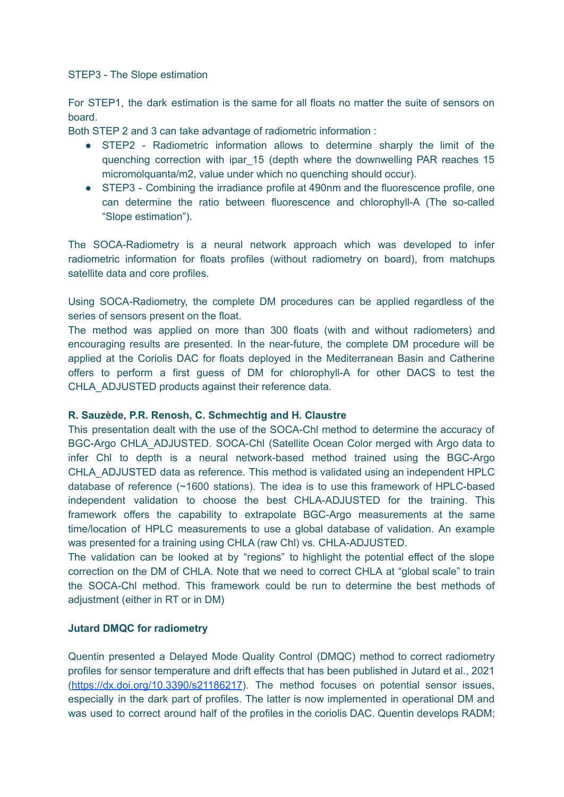### STEP3 - The Slope estimation

For STEP1, the dark estimation is the same for all floats no matter the suite of sensors on board.

Both STEP 2 and 3 can take advantage of radiometric information :

- STEP2 Radiometric information allows to determine sharply the limit of the quenching correction with ipar\_15 (depth where the downwelling PAR reaches 15 micromolquanta/m2, value under which no quenching should occur).
- STEP3 Combining the irradiance profile at 490nm and the fluorescence profile, one can determine the ratio between fluorescence and chlorophyll-A (The so-called "Slope estimation").

The SOCA-Radiometry is a neural network approach which was developed to infer radiometric information for floats profiles (without radiometry on board), from matchups satellite data and core profiles.

Using SOCA-Radiometry, the complete DM procedures can be applied regardless of the series of sensors present on the float.

The method was applied on more than 300 floats (with and without radiometers) and encouraging results are presented. In the near-future, the complete DM procedure will be applied at the Coriolis DAC for floats deployed in the Mediterranean Basin and Catherine offers to perform a first guess of DM for chlorophyll-A for other DACS to test the CHLA\_ADJUSTED products against their reference data.

# **R. Sauzède, P.R. Renosh, C. Schmechtig and H. Claustre**

This presentation dealt with the use of the SOCA-Chl method to determine the accuracy of BGC-Argo CHLA\_ADJUSTED. SOCA-Chl (Satellite Ocean Color merged with Argo data to infer Chl to depth is a neural network-based method trained using the BGC-Argo CHLA\_ADJUSTED data as reference. This method is validated using an independent HPLC database of reference (~1600 stations). The idea is to use this framework of HPLC-based independent validation to choose the best CHLA-ADJUSTED for the training. This framework offers the capability to extrapolate BGC-Argo measurements at the same time/location of HPLC measurements to use a global database of validation. An example was presented for a training using CHLA (raw Chl) vs. CHLA-ADJUSTED.

The validation can be looked at by "regions" to highlight the potential effect of the slope correction on the DM of CHLA. Note that we need to correct CHLA at "global scale" to train the SOCA-Chl method. This framework could be run to determine the best methods of adjustment (either in RT or in DM)

# **Jutard DMQC for radiometry**

Quentin presented a Delayed Mode Quality Control (DMQC) method to correct radiometry profiles for sensor temperature and drift effects that has been published in Jutard et al., 2021 (<https://dx.doi.org/10.3390/s21186217>). The method focuses on potential sensor issues, especially in the dark part of profiles. The latter is now implemented in operational DM and was used to correct around half of the profiles in the coriolis DAC. Quentin develops RADM;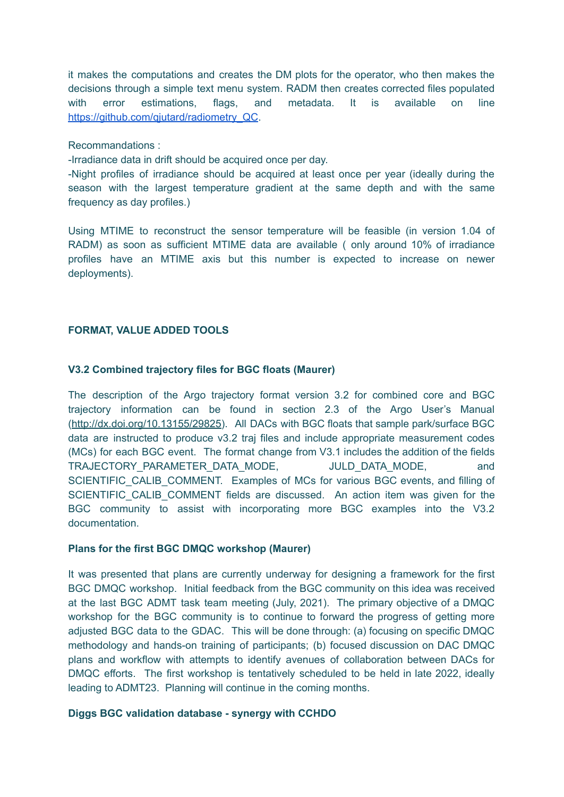it makes the computations and creates the DM plots for the operator, who then makes the decisions through a simple text menu system. RADM then creates corrected files populated with error estimations, flags, and metadata. It is available on line https://github.com/giutard/radiometry\_QC.

Recommandations :

-Irradiance data in drift should be acquired once per day.

-Night profiles of irradiance should be acquired at least once per year (ideally during the season with the largest temperature gradient at the same depth and with the same frequency as day profiles.)

Using MTIME to reconstruct the sensor temperature will be feasible (in version 1.04 of RADM) as soon as sufficient MTIME data are available ( only around 10% of irradiance profiles have an MTIME axis but this number is expected to increase on newer deployments).

## **FORMAT, VALUE ADDED TOOLS**

### **V3.2 Combined trajectory files for BGC floats (Maurer)**

The description of the Argo trajectory format version 3.2 for combined core and BGC trajectory information can be found in section 2.3 of the Argo User's Manual ([http://dx.doi.org/10.13155/29825\)](http://dx.doi.org/10.13155/29825). All DACs with BGC floats that sample park/surface BGC data are instructed to produce v3.2 traj files and include appropriate measurement codes (MCs) for each BGC event. The format change from V3.1 includes the addition of the fields TRAJECTORY\_PARAMETER\_DATA\_MODE. JULD\_DATA\_MODE, and SCIENTIFIC CALIB COMMENT. Examples of MCs for various BGC events, and filling of SCIENTIFIC CALIB COMMENT fields are discussed. An action item was given for the BGC community to assist with incorporating more BGC examples into the V3.2 documentation.

#### **Plans for the first BGC DMQC workshop (Maurer)**

It was presented that plans are currently underway for designing a framework for the first BGC DMQC workshop. Initial feedback from the BGC community on this idea was received at the last BGC ADMT task team meeting (July, 2021). The primary objective of a DMQC workshop for the BGC community is to continue to forward the progress of getting more adjusted BGC data to the GDAC. This will be done through: (a) focusing on specific DMQC methodology and hands-on training of participants; (b) focused discussion on DAC DMQC plans and workflow with attempts to identify avenues of collaboration between DACs for DMQC efforts. The first workshop is tentatively scheduled to be held in late 2022, ideally leading to ADMT23. Planning will continue in the coming months.

#### **Diggs BGC validation database - synergy with CCHDO**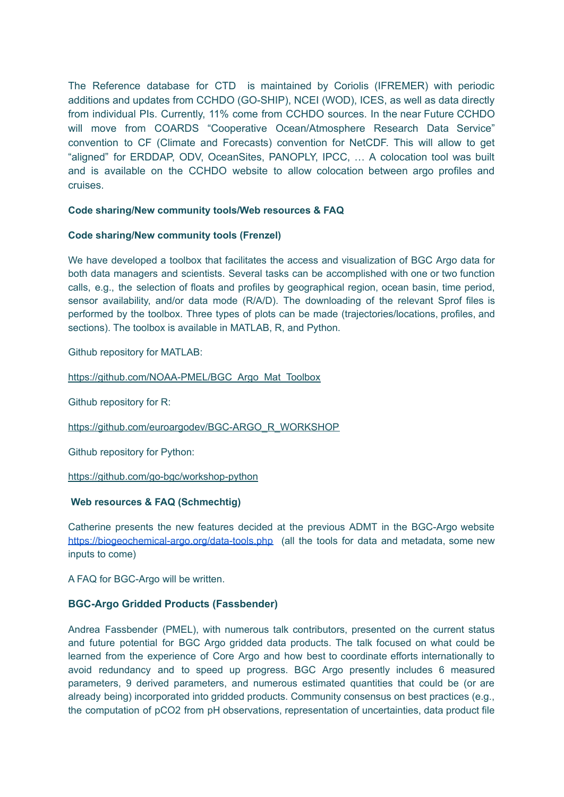The Reference database for CTD is maintained by Coriolis (IFREMER) with periodic additions and updates from CCHDO (GO-SHIP), NCEI (WOD), ICES, as well as data directly from individual PIs. Currently, 11% come from CCHDO sources. In the near Future CCHDO will move from COARDS "Cooperative Ocean/Atmosphere Research Data Service" convention to CF (Climate and Forecasts) convention for NetCDF. This will allow to get "aligned" for ERDDAP, ODV, OceanSites, PANOPLY, IPCC, … A colocation tool was built and is available on the CCHDO website to allow colocation between argo profiles and cruises.

#### **Code sharing/New community tools/Web resources & FAQ**

#### **Code sharing/New community tools (Frenzel)**

We have developed a toolbox that facilitates the access and visualization of BGC Argo data for both data managers and scientists. Several tasks can be accomplished with one or two function calls, e.g., the selection of floats and profiles by geographical region, ocean basin, time period, sensor availability, and/or data mode (R/A/D). The downloading of the relevant Sprof files is performed by the toolbox. Three types of plots can be made (trajectories/locations, profiles, and sections). The toolbox is available in MATLAB, R, and Python.

Github repository for MATLAB:

[https://github.com/NOAA-PMEL/BGC\\_Argo\\_Mat\\_Toolbox](https://github.com/NOAA-PMEL/BGC_Argo_Mat_Toolbox)

Github repository for R:

[https://github.com/euroargodev/BGC-ARGO\\_R\\_WORKSHOP](https://github.com/euroargodev/BGC-ARGO_R_WORKSHOP)

Github repository for Python:

<https://github.com/go-bgc/workshop-python>

#### **Web resources & FAQ (Schmechtig)**

Catherine presents the new features decided at the previous ADMT in the BGC-Argo website <https://biogeochemical-argo.org/data-tools.php> (all the tools for data and metadata, some new inputs to come)

A FAQ for BGC-Argo will be written.

# **BGC-Argo Gridded Products (Fassbender)**

Andrea Fassbender (PMEL), with numerous talk contributors, presented on the current status and future potential for BGC Argo gridded data products. The talk focused on what could be learned from the experience of Core Argo and how best to coordinate efforts internationally to avoid redundancy and to speed up progress. BGC Argo presently includes 6 measured parameters, 9 derived parameters, and numerous estimated quantities that could be (or are already being) incorporated into gridded products. Community consensus on best practices (e.g., the computation of pCO2 from pH observations, representation of uncertainties, data product file